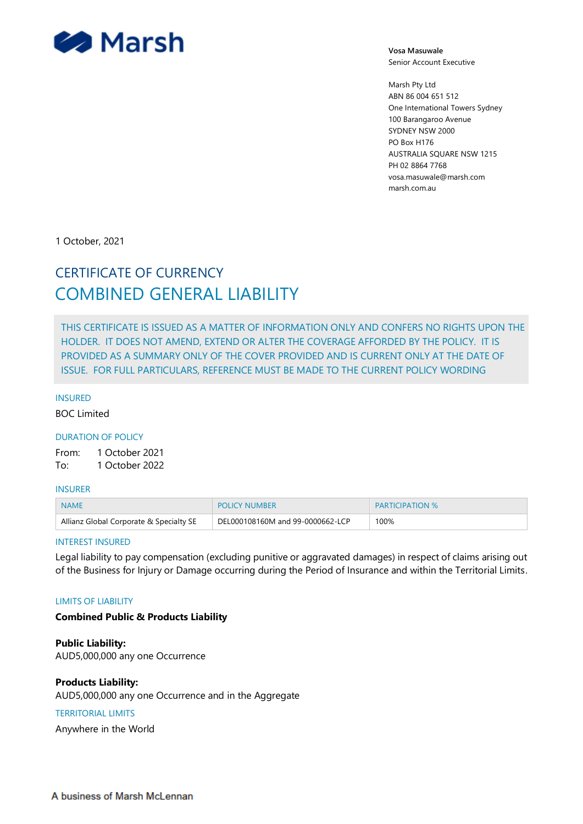

**Vosa Masuwale** Senior Account Executive

Marsh Pty Ltd ABN 86 004 651 512 One International Towers Sydney 100 Barangaroo Avenue SYDNEY NSW 2000 PO Box H176 AUSTRALIA SQUARE NSW 1215 PH 02 8864 7768 vosa.masuwale@marsh.com marsh.com.au

1 October, 2021

# CERTIFICATE OF CURRENCY COMBINED GENERAL LIABILITY

THIS CERTIFICATE IS ISSUED AS A MATTER OF INFORMATION ONLY AND CONFERS NO RIGHTS UPON THE HOLDER. IT DOES NOT AMEND, EXTEND OR ALTER THE COVERAGE AFFORDED BY THE POLICY. IT IS PROVIDED AS A SUMMARY ONLY OF THE COVER PROVIDED AND IS CURRENT ONLY AT THE DATE OF ISSUE. FOR FULL PARTICULARS, REFERENCE MUST BE MADE TO THE CURRENT POLICY WORDING

#### INSURED

BOC Limited

### DURATION OF POLICY

From: 1 October 2021 To: 1 October 2022

#### INSURER

| <b>NAME</b>                             | <b>POLICY NUMBER</b>             | <b>PARTICIPATION %</b> |
|-----------------------------------------|----------------------------------|------------------------|
| Allianz Global Corporate & Specialty SE | DEL000108160M and 99-0000662-LCP | 100%                   |

#### INTEREST INSURED

Legal liability to pay compensation (excluding punitive or aggravated damages) in respect of claims arising out of the Business for Injury or Damage occurring during the Period of Insurance and within the Territorial Limits.

#### LIMITS OF LIABILITY

# **Combined Public & Products Liability**

**Public Liability:** AUD5,000,000 any one Occurrence

# **Products Liability:**

AUD5,000,000 any one Occurrence and in the Aggregate

# TERRITORIAL LIMITS

Anywhere in the World